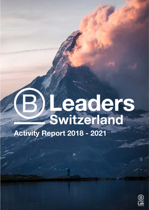# **Leaders**<br>Switzerland

**Activity Report 2018 - 2021**

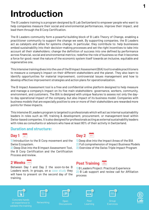## **Introduction**

The B Leaders training is a program designed by B Lab Switzerland to empower people who want to help companies measure their social and environmental performances, improve their impact, and lead them through the B Corp Certification.

The B Leaders community form a powerful building block of B Lab's Theory of Change, enabling a practitioner community to support the change we seek. By supporting companies, the B Leaders act as catalysts and allies for systems change. In particular, they contribute to: help businesses embed sustainability into their decision-making processes and set the right incentives to take into account all their stakeholders; change the definition of success into one defined by performance across financial, social and environmental metrics; redefine the role of business so that it becomes a force for good; reset the nature of the economic system itself towards an inclusive, equitable and regenerative one.

This intensive training dives into the use of the B Impact Assessment (BIA) tool to enable practitioners to measure a company's impact on their different stakeholders and the planet. They also learn to identify opportunities for material improvement, controversial issues management and how to develop effective improvement strategies and action plans for operationalization.

The B Impact Assessment tool is a free and confidential online platform designed to help measure and manage a company's impact on its five main stakeholders: governance, workers, community, environment, and customers. The BIA is designed with unique features to assess not only the dayto-day operational impact of the company, but also impact of its business model. Companies with business models that are especially positive to one or more of their stakeholders are rewarded more points for these impacts.

This intensive B Leaders program is targeted to professionals which will act as internal sustainability leaders in roles such as HR, training & development, procurement, or management-level within Swiss-based companies. It is also designed for professionals acting as external sustainability leaders with roles as consultants or advisors who have at least 80% of their activity in Switzerland.

### **Duration and structure:**

## **Day 1 Day 2**

1) Introduction to the B Corp movement and the Swiss Ecosystem.

2) Deep Dive into the B Impact Assessment Tool, the B Corp Certification and the Certification Process and review.

- 1) Deep dive into the Impact Areas of the BIA
- 2) Full comprehension of Impact Business Models
- 3) Overview of the Swiss Triple Impact Program

Between Day 1 and Day 2 the soon-to-be B Leaders work, in groups, on a case study they will have to present on the second day of the training.

## **2 Weeks Post Training**















Concrete hands on experience to validate the training

Learning Networking Open **Discussions** 

Peer

Group Exercices



**1**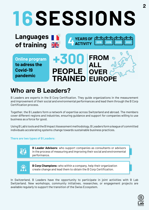## **16SESSIONS**

**Online program to adress the Covid-19 pandemic**

**Languages** 

**of training**



**YEARS OF** 

**2018 2019 2020 2021**

## **Who are B Leaders?**

B Leaders are experts in the B Corp Certification. They guide organizations in the measurement and improvement of their social and environmental performances and lead them through the B Corp Certification process.

Together, the B Leaders form a network of expertise across Switzerland and abroad. The members cover different regions and industries, ensuring guidance and support for companies willing to use business as a force for good.

Using B Lab's tools and the B Impact Assessment methodology, B Leaders form a league of committed individuals accelerating systems change towards sustainable business practices.

#### **There are two types of B Leaders:**

**B Leader Advisors:** who support companies as consultants or advisors in the process of measuring and improving their social and environmental performance.



**B Corp Champions:** who within a company, help their organization create change and lead them to obtain the B Corp Certification.

In Switzerland, B Leaders have the opportunity to participate in joint activities with B Lab Switzerland. New workshops, community initiatives, researches, or engagement projects are available regularly to support the transition of the Swiss Ecosystem.

**2**

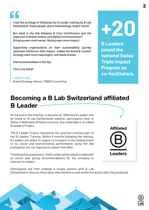

*I had the privilege of following the B Leader training by B Lab Switzerland. Great people, great methodology, bright future!* 

*But what is the link between B Corp Certification and the expertise in Brand content and digital communication? Bringing even more sense. Having even more impact;*

*Supporting organizations on their sustainability journey upstream reinforces their impact, makes the brand & content strategy even more meaningful, and feeds brands.*

*Interconnectedness is the key.*

*This is my belief.*

**Julien Levy** Brand Strategy Advisor, M&BD Consulting

## **+20**

**B Leaders joined the national Swiss Triple Impact Program as co-facilitators.**

## **Becoming a B Lab Switzerland affiliated B Leader**

At the end of the training, to become an "affiliated B Leader" and be listed on B Lab Switzerland's website, participants have to follow a dedicated affiliation process and undertake a so-called B Leader's Project.

The B Leader Project represents the practice-oriented part of the B Leaders Training. Within 8 months following the training, B Leaders are asked to support a company in the measurement of its social and environmental performance using the BIA (companies are not required to submit their BIA).

Following this assessment, the B Leader will be asked to elaborate an action plan giving recommendations for the company to improve its impact.



**Switzerland**

Participants will then undergo a review session with B Lab Switzerland to discuss the project they worked on and review the action plan they proposed.

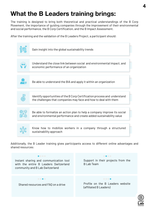## **What the B Leaders training brings:**

The training is designed to bring both theoretical and practical understandings of the B Corp Movement, the importance of guiding companies through the improvement of their environmental and social performance, the B Corp Certification, and the B Impact Assessment.

After the training and the validation of the B Leaders Project, a participant should:



**Switzerland**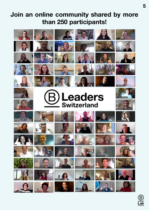## **Join an online community shared by more than 250 participants!**



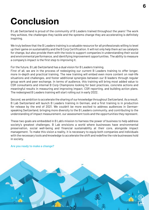## **Conclusion**

B Lab Switzerland is proud of the community of B Leaders trained throughout the years! The work they achieve, the challenges they tackle and the systems change they are accelerating is definitely inspiring.

We truly believe that the B Leaders training is a valuable resource for all professionals willing to level up their game on sustainability and the B Corp Certification. It will not only help them act as catalysts for change, but also provide them with the tools to support companies in understanding their social and environmental performance, and identifying improvement opportunities. The ability to measure a company's impact is the first step to improving it.

#### For the future, B Lab Switzerland has a dual vision for B Leaders training.

First of all, we are in the process of redesigning our current B Leaders training to offer longer, more in-depth and practical training. The new training will embed even more content on real-life situations and challenges, and foster additional synergies between our B leaders through regular group work and peer exchange. In terms of audience, this training will bring most added value to CSR consultants and internal B Corp Champions looking for best practices, concrete actions and meaningful results in measuring and improving impact, CSR reporting, and building action plans. The redesigned B Leaders training will start rolling out in early 2022.

Second, we ambition to accelerate the sharing of our knowledge throughout Switzerland. As a result, B Lab Switzerland will launch B Leaders training in German, and a first training is in production for release by the end of 2021. We couldn't be more excited to address audiences in Germanspeaking Switzerland, bringing more diversity to the B Leaders community, and contributing to the understanding of impact measurement, our assessment tools and the opportunities they represent.

These two goals are embedded in B Lab's mission to harness the power of business to help address society's greatest challenges. B Lab envisions a world where businesses have environmental preservation, social well-being and financial sustainability at their core, alongside impact management. To make this vision a reality, it is necessary to equip both companies and individuals with the necessary tools and knowledge to accelerate the shift and redefine the role businesses hold in society.

#### **Are you ready to make a change?**